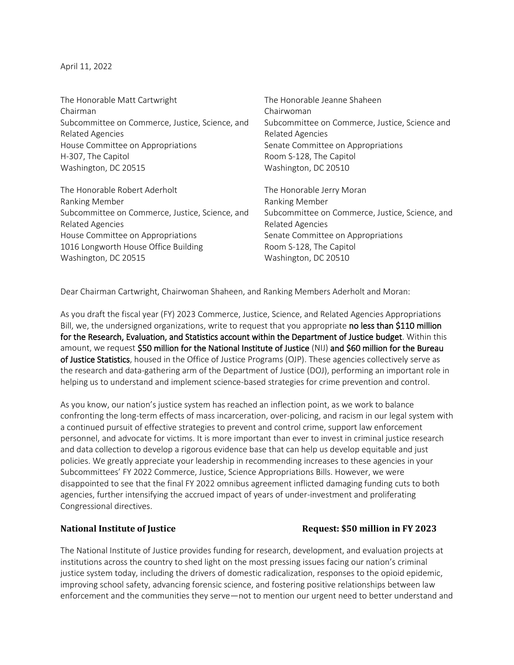April 11, 2022

The Honorable Matt Cartwright Chairman Subcommittee on Commerce, Justice, Science, and Related Agencies House Committee on Appropriations H-307, The Capitol Washington, DC 20515

The Honorable Robert Aderholt Ranking Member Subcommittee on Commerce, Justice, Science, and Related Agencies House Committee on Appropriations 1016 Longworth House Office Building Washington, DC 20515

The Honorable Jeanne Shaheen Chairwoman Subcommittee on Commerce, Justice, Science and Related Agencies Senate Committee on Appropriations Room S-128, The Capitol Washington, DC 20510

The Honorable Jerry Moran Ranking Member Subcommittee on Commerce, Justice, Science, and Related Agencies Senate Committee on Appropriations Room S-128, The Capitol Washington, DC 20510

Dear Chairman Cartwright, Chairwoman Shaheen, and Ranking Members Aderholt and Moran:

As you draft the fiscal year (FY) 2023 Commerce, Justice, Science, and Related Agencies Appropriations Bill, we, the undersigned organizations, write to request that you appropriate no less than \$110 million for the Research, Evaluation, and Statistics account within the Department of Justice budget. Within this amount, we request \$50 million for the National Institute of Justice (NIJ) and \$60 million for the Bureau of Justice Statistics, housed in the Office of Justice Programs (OJP). These agencies collectively serve as the research and data-gathering arm of the Department of Justice (DOJ), performing an important role in helping us to understand and implement science-based strategies for crime prevention and control.

As you know, our nation's justice system has reached an inflection point, as we work to balance confronting the long-term effects of mass incarceration, over-policing, and racism in our legal system with a continued pursuit of effective strategies to prevent and control crime, support law enforcement personnel, and advocate for victims. It is more important than ever to invest in criminal justice research and data collection to develop a rigorous evidence base that can help us develop equitable and just policies. We greatly appreciate your leadership in recommending increases to these agencies in your Subcommittees' FY 2022 Commerce, Justice, Science Appropriations Bills. However, we were disappointed to see that the final FY 2022 omnibus agreement inflicted damaging funding cuts to both agencies, further intensifying the accrued impact of years of under-investment and proliferating Congressional directives.

## **National Institute of Justice Request: \$50 million in FY 2023**

The National Institute of Justice provides funding for research, development, and evaluation projects at institutions across the country to shed light on the most pressing issues facing our nation's criminal justice system today, including the drivers of domestic radicalization, responses to the opioid epidemic, improving school safety, advancing forensic science, and fostering positive relationships between law enforcement and the communities they serve—not to mention our urgent need to better understand and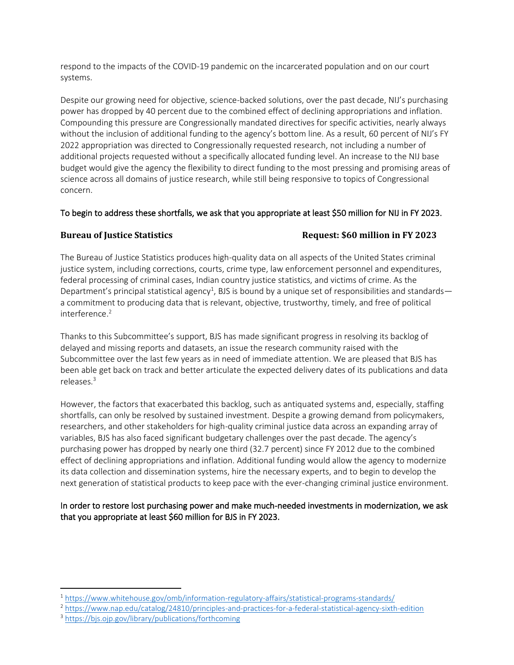respond to the impacts of the COVID-19 pandemic on the incarcerated population and on our court systems.

Despite our growing need for objective, science-backed solutions, over the past decade, NIJ's purchasing power has dropped by 40 percent due to the combined effect of declining appropriations and inflation. Compounding this pressure are Congressionally mandated directives for specific activities, nearly always without the inclusion of additional funding to the agency's bottom line. As a result, 60 percent of NIJ's FY 2022 appropriation was directed to Congressionally requested research, not including a number of additional projects requested without a specifically allocated funding level. An increase to the NIJ base budget would give the agency the flexibility to direct funding to the most pressing and promising areas of science across all domains of justice research, while still being responsive to topics of Congressional concern.

## To begin to address these shortfalls, we ask that you appropriate at least \$50 million for NIJ in FY 2023.

# **Bureau of Justice Statistics Request: \$60 million in FY 2023**

The Bureau of Justice Statistics produces high-quality data on all aspects of the United States criminal justice system, including corrections, courts, crime type, law enforcement personnel and expenditures, federal processing of criminal cases, Indian country justice statistics, and victims of crime. As the Department's principal statistical agency<sup>1</sup>, BJS is bound by a unique set of responsibilities and standards a commitment to producing data that is relevant, objective, trustworthy, timely, and free of political interference. 2

Thanks to this Subcommittee's support, BJS has made significant progress in resolving its backlog of delayed and missing reports and datasets, an issue the research community raised with the Subcommittee over the last few years as in need of immediate attention. We are pleased that BJS has been able get back on track and better articulate the expected delivery dates of its publications and data releases.<sup>3</sup>

However, the factors that exacerbated this backlog, such as antiquated systems and, especially, staffing shortfalls, can only be resolved by sustained investment. Despite a growing demand from policymakers, researchers, and other stakeholders for high-quality criminal justice data across an expanding array of variables, BJS has also faced significant budgetary challenges over the past decade. The agency's purchasing power has dropped by nearly one third (32.7 percent) since FY 2012 due to the combined effect of declining appropriations and inflation. Additional funding would allow the agency to modernize its data collection and dissemination systems, hire the necessary experts, and to begin to develop the next generation of statistical products to keep pace with the ever-changing criminal justice environment.

# In order to restore lost purchasing power and make much-needed investments in modernization, we ask that you appropriate at least \$60 million for BJS in FY 2023.

<sup>1</sup> <https://www.whitehouse.gov/omb/information-regulatory-affairs/statistical-programs-standards/>

<sup>2</sup> <https://www.nap.edu/catalog/24810/principles-and-practices-for-a-federal-statistical-agency-sixth-edition>

<sup>3</sup> <https://bjs.ojp.gov/library/publications/forthcoming>